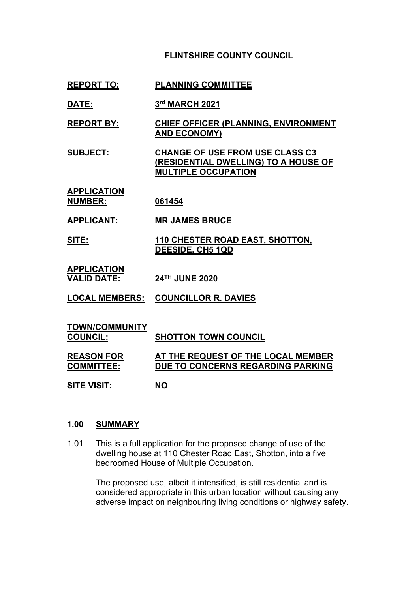# **FLINTSHIRE COUNTY COUNCIL**

# **REPORT TO: PLANNING COMMITTEE**

- **DATE: 3 rd MARCH 2021**
- **REPORT BY: CHIEF OFFICER (PLANNING, ENVIRONMENT AND ECONOMY)**
- **SUBJECT: CHANGE OF USE FROM USE CLASS C3 (RESIDENTIAL DWELLING) TO A HOUSE OF MULTIPLE OCCUPATION**
- **APPLICATION NUMBER: 061454**
- **APPLICANT: MR JAMES BRUCE**
- **SITE: 110 CHESTER ROAD EAST, SHOTTON, DEESIDE, CH5 1QD**
- **APPLICATION VALID DATE: 24TH JUNE 2020**
- **LOCAL MEMBERS: COUNCILLOR R. DAVIES**
- **TOWN/COMMUNITY COUNCIL: SHOTTON TOWN COUNCIL REASON FOR COMMITTEE: AT THE REQUEST OF THE LOCAL MEMBER DUE TO CONCERNS REGARDING PARKING SITE VISIT: NO**

### **1.00 SUMMARY**

1.01 This is a full application for the proposed change of use of the dwelling house at 110 Chester Road East, Shotton, into a five bedroomed House of Multiple Occupation.

> The proposed use, albeit it intensified, is still residential and is considered appropriate in this urban location without causing any adverse impact on neighbouring living conditions or highway safety.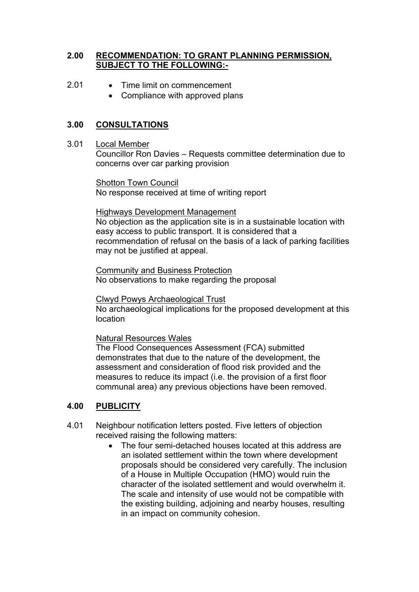# **2.00 RECOMMENDATION: TO GRANT PLANNING PERMISSION, SUBJECT TO THE FOLLOWING:-**

- 2.01 Time limit on commencement
	- Compliance with approved plans

# **3.00 CONSULTATIONS**

3.01 Local Member

Councillor Ron Davies – Requests committee determination due to concerns over car parking provision

Shotton Town Council No response received at time of writing report

#### Highways Development Management

No objection as the application site is in a sustainable location with easy access to public transport. It is considered that a recommendation of refusal on the basis of a lack of parking facilities may not be justified at appeal.

Community and Business Protection No observations to make regarding the proposal

Clwyd Powys Archaeological Trust No archaeological implications for the proposed development at this location

Natural Resources Wales

The Flood Consequences Assessment (FCA) submitted demonstrates that due to the nature of the development, the assessment and consideration of flood risk provided and the measures to reduce its impact (i.e. the provision of a first floor communal area) any previous objections have been removed.

# **4.00 PUBLICITY**

- 4.01 Neighbour notification letters posted. Five letters of objection received raising the following matters:
	- The four semi-detached houses located at this address are an isolated settlement within the town where development proposals should be considered very carefully. The inclusion of a House in Multiple Occupation (HMO) would ruin the character of the isolated settlement and would overwhelm it. The scale and intensity of use would not be compatible with the existing building, adjoining and nearby houses, resulting in an impact on community cohesion.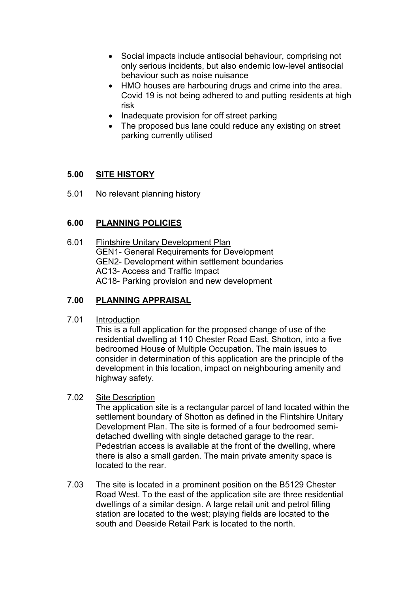- Social impacts include antisocial behaviour, comprising not only serious incidents, but also endemic low-level antisocial behaviour such as noise nuisance
- HMO houses are harbouring drugs and crime into the area. Covid 19 is not being adhered to and putting residents at high risk
- Inadequate provision for off street parking
- The proposed bus lane could reduce any existing on street parking currently utilised

# **5.00 SITE HISTORY**

5.01 No relevant planning history

# **6.00 PLANNING POLICIES**

6.01 Flintshire Unitary Development Plan GEN1- General Requirements for Development GEN2- Development within settlement boundaries AC13- Access and Traffic Impact AC18- Parking provision and new development

# **7.00 PLANNING APPRAISAL**

# 7.01 Introduction

This is a full application for the proposed change of use of the residential dwelling at 110 Chester Road East, Shotton, into a five bedroomed House of Multiple Occupation. The main issues to consider in determination of this application are the principle of the development in this location, impact on neighbouring amenity and highway safety.

#### 7.02 Site Description

The application site is a rectangular parcel of land located within the settlement boundary of Shotton as defined in the Flintshire Unitary Development Plan. The site is formed of a four bedroomed semidetached dwelling with single detached garage to the rear. Pedestrian access is available at the front of the dwelling, where there is also a small garden. The main private amenity space is located to the rear.

7.03 The site is located in a prominent position on the B5129 Chester Road West. To the east of the application site are three residential dwellings of a similar design. A large retail unit and petrol filling station are located to the west; playing fields are located to the south and Deeside Retail Park is located to the north.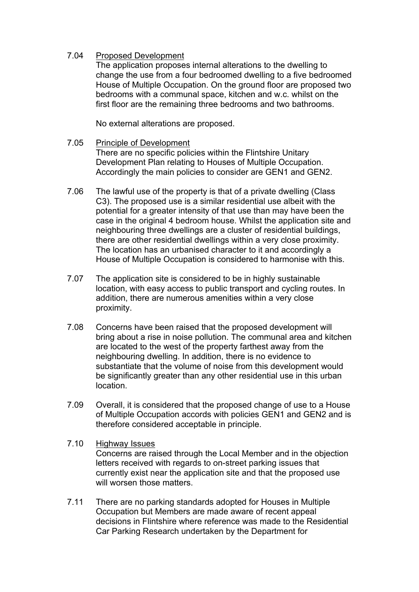### 7.04 Proposed Development

The application proposes internal alterations to the dwelling to change the use from a four bedroomed dwelling to a five bedroomed House of Multiple Occupation. On the ground floor are proposed two bedrooms with a communal space, kitchen and w.c. whilst on the first floor are the remaining three bedrooms and two bathrooms.

No external alterations are proposed.

#### 7.05 Principle of Development There are no specific policies within the Flintshire Unitary Development Plan relating to Houses of Multiple Occupation. Accordingly the main policies to consider are GEN1 and GEN2.

- 7.06 The lawful use of the property is that of a private dwelling (Class C3). The proposed use is a similar residential use albeit with the potential for a greater intensity of that use than may have been the case in the original 4 bedroom house. Whilst the application site and neighbouring three dwellings are a cluster of residential buildings, there are other residential dwellings within a very close proximity. The location has an urbanised character to it and accordingly a House of Multiple Occupation is considered to harmonise with this.
- 7.07 The application site is considered to be in highly sustainable location, with easy access to public transport and cycling routes. In addition, there are numerous amenities within a very close proximity.
- 7.08 Concerns have been raised that the proposed development will bring about a rise in noise pollution. The communal area and kitchen are located to the west of the property farthest away from the neighbouring dwelling. In addition, there is no evidence to substantiate that the volume of noise from this development would be significantly greater than any other residential use in this urban location.
- 7.09 Overall, it is considered that the proposed change of use to a House of Multiple Occupation accords with policies GEN1 and GEN2 and is therefore considered acceptable in principle.

#### 7.10 Highway Issues Concerns are raised through the Local Member and in the objection letters received with regards to on-street parking issues that currently exist near the application site and that the proposed use will worsen those matters

7.11 There are no parking standards adopted for Houses in Multiple Occupation but Members are made aware of recent appeal decisions in Flintshire where reference was made to the Residential Car Parking Research undertaken by the Department for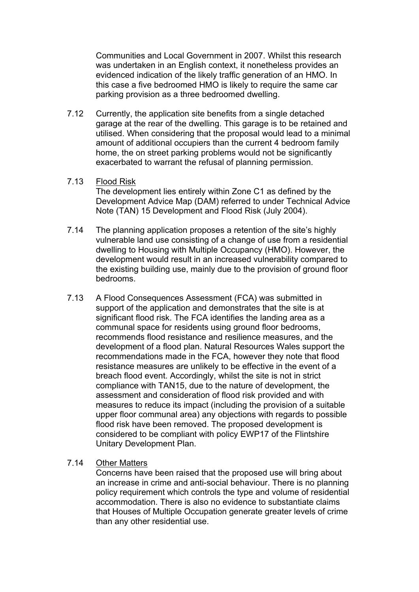Communities and Local Government in 2007. Whilst this research was undertaken in an English context, it nonetheless provides an evidenced indication of the likely traffic generation of an HMO. In this case a five bedroomed HMO is likely to require the same car parking provision as a three bedroomed dwelling.

7.12 Currently, the application site benefits from a single detached garage at the rear of the dwelling. This garage is to be retained and utilised. When considering that the proposal would lead to a minimal amount of additional occupiers than the current 4 bedroom family home, the on street parking problems would not be significantly exacerbated to warrant the refusal of planning permission.

#### 7.13 Flood Risk

The development lies entirely within Zone C1 as defined by the Development Advice Map (DAM) referred to under Technical Advice Note (TAN) 15 Development and Flood Risk (July 2004).

- 7.14 The planning application proposes a retention of the site's highly vulnerable land use consisting of a change of use from a residential dwelling to Housing with Multiple Occupancy (HMO). However, the development would result in an increased vulnerability compared to the existing building use, mainly due to the provision of ground floor bedrooms.
- 7.13 A Flood Consequences Assessment (FCA) was submitted in support of the application and demonstrates that the site is at significant flood risk. The FCA identifies the landing area as a communal space for residents using ground floor bedrooms, recommends flood resistance and resilience measures, and the development of a flood plan. Natural Resources Wales support the recommendations made in the FCA, however they note that flood resistance measures are unlikely to be effective in the event of a breach flood event. Accordingly, whilst the site is not in strict compliance with TAN15, due to the nature of development, the assessment and consideration of flood risk provided and with measures to reduce its impact (including the provision of a suitable upper floor communal area) any objections with regards to possible flood risk have been removed. The proposed development is considered to be compliant with policy EWP17 of the Flintshire Unitary Development Plan.

### 7.14 Other Matters

Concerns have been raised that the proposed use will bring about an increase in crime and anti-social behaviour. There is no planning policy requirement which controls the type and volume of residential accommodation. There is also no evidence to substantiate claims that Houses of Multiple Occupation generate greater levels of crime than any other residential use.